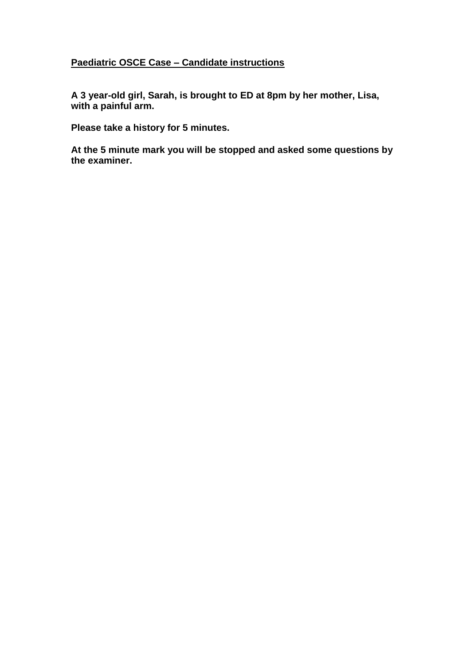## **Paediatric OSCE Case – Candidate instructions**

**A 3 year-old girl, Sarah, is brought to ED at 8pm by her mother, Lisa, with a painful arm.**

**Please take a history for 5 minutes.**

**At the 5 minute mark you will be stopped and asked some questions by the examiner.**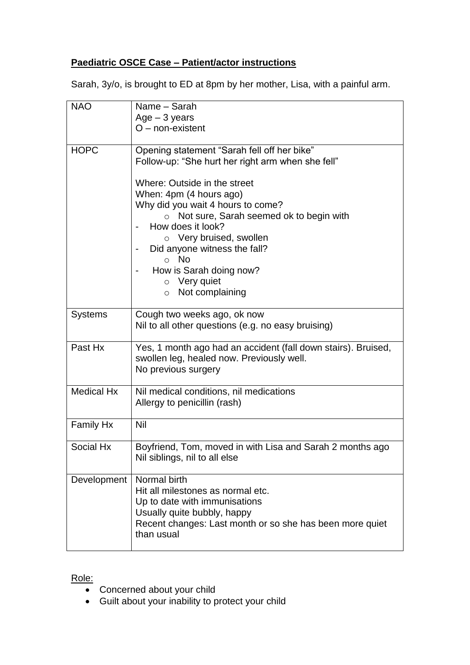## **Paediatric OSCE Case – Patient/actor instructions**

Sarah, 3y/o, is brought to ED at 8pm by her mother, Lisa, with a painful arm.

| <b>NAO</b>        | Name - Sarah<br>$Age - 3 years$<br>$O$ – non-existent                                                                                                                                                                                                                                                                                                                                                                            |  |
|-------------------|----------------------------------------------------------------------------------------------------------------------------------------------------------------------------------------------------------------------------------------------------------------------------------------------------------------------------------------------------------------------------------------------------------------------------------|--|
| <b>HOPC</b>       | Opening statement "Sarah fell off her bike"<br>Follow-up: "She hurt her right arm when she fell"<br>Where: Outside in the street<br>When: 4pm (4 hours ago)<br>Why did you wait 4 hours to come?<br>o Not sure, Sarah seemed ok to begin with<br>How does it look?<br>$\circ$ Very bruised, swollen<br>Did anyone witness the fall?<br>$\circ$ No<br>How is Sarah doing now?<br>$\circ$ Very quiet<br>Not complaining<br>$\circ$ |  |
| <b>Systems</b>    | Cough two weeks ago, ok now<br>Nil to all other questions (e.g. no easy bruising)                                                                                                                                                                                                                                                                                                                                                |  |
| Past Hx           | Yes, 1 month ago had an accident (fall down stairs). Bruised,<br>swollen leg, healed now. Previously well.<br>No previous surgery                                                                                                                                                                                                                                                                                                |  |
| <b>Medical Hx</b> | Nil medical conditions, nil medications<br>Allergy to penicillin (rash)                                                                                                                                                                                                                                                                                                                                                          |  |
| <b>Family Hx</b>  | Nil                                                                                                                                                                                                                                                                                                                                                                                                                              |  |
| Social Hx         | Boyfriend, Tom, moved in with Lisa and Sarah 2 months ago<br>Nil siblings, nil to all else                                                                                                                                                                                                                                                                                                                                       |  |
| Development       | Normal birth<br>Hit all milestones as normal etc.<br>Up to date with immunisations<br>Usually quite bubbly, happy<br>Recent changes: Last month or so she has been more quiet<br>than usual                                                                                                                                                                                                                                      |  |

Role:

- Concerned about your child
- Guilt about your inability to protect your child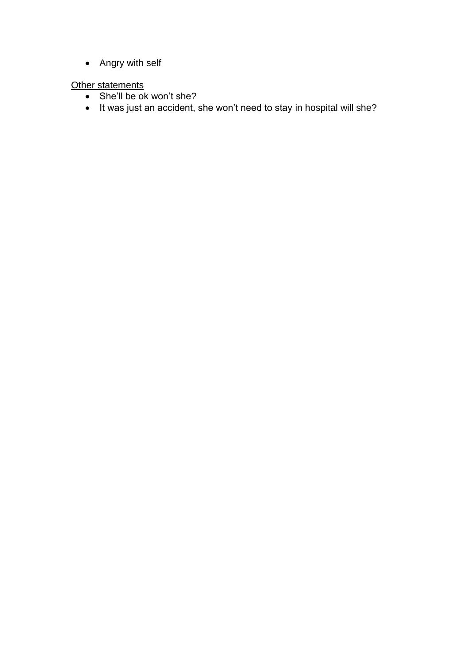• Angry with self

**Other statements** 

- She'll be ok won't she?
- It was just an accident, she won't need to stay in hospital will she?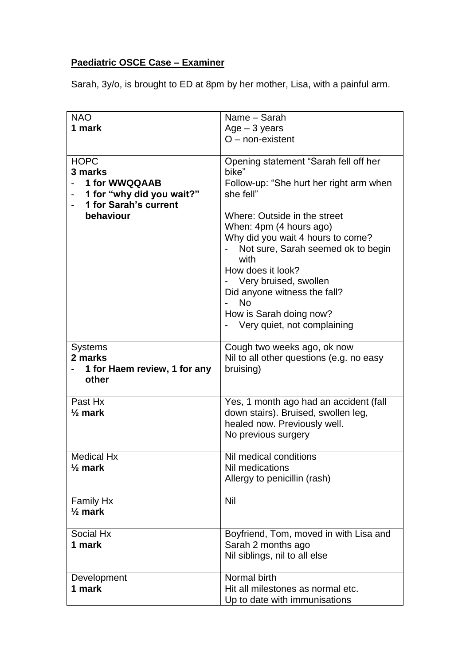## **Paediatric OSCE Case – Examiner**

Sarah, 3y/o, is brought to ED at 8pm by her mother, Lisa, with a painful arm.

| <b>NAO</b>                      | Name - Sarah                                                            |
|---------------------------------|-------------------------------------------------------------------------|
| 1 mark                          | $Age - 3 years$                                                         |
|                                 | $O$ – non-existent                                                      |
|                                 |                                                                         |
| <b>HOPC</b>                     | Opening statement "Sarah fell off her                                   |
| 3 marks                         | bike"                                                                   |
| 1 for WWQQAAB                   | Follow-up: "She hurt her right arm when                                 |
| 1 for "why did you wait?"       | she fell"                                                               |
| 1 for Sarah's current           |                                                                         |
| behaviour                       | Where: Outside in the street                                            |
|                                 | When: 4pm (4 hours ago)                                                 |
|                                 | Why did you wait 4 hours to come?<br>Not sure, Sarah seemed ok to begin |
|                                 | with                                                                    |
|                                 | How does it look?                                                       |
|                                 | Very bruised, swollen                                                   |
|                                 | Did anyone witness the fall?                                            |
|                                 | <b>No</b>                                                               |
|                                 | How is Sarah doing now?                                                 |
|                                 | Very quiet, not complaining                                             |
|                                 |                                                                         |
| <b>Systems</b>                  | Cough two weeks ago, ok now                                             |
| 2 marks                         | Nil to all other questions (e.g. no easy                                |
| 1 for Haem review, 1 for any    | bruising)                                                               |
| other                           |                                                                         |
| Past Hx                         | Yes, 1 month ago had an accident (fall                                  |
| $\frac{1}{2}$ mark              | down stairs). Bruised, swollen leg,                                     |
|                                 | healed now. Previously well.                                            |
|                                 | No previous surgery                                                     |
|                                 |                                                                         |
| <b>Medical Hx</b>               | Nil medical conditions                                                  |
| $\frac{1}{2}$ mark              | Nil medications                                                         |
|                                 | Allergy to penicillin (rash)                                            |
|                                 | Nil                                                                     |
| Family Hx<br>$\frac{1}{2}$ mark |                                                                         |
|                                 |                                                                         |
| Social Hx                       | Boyfriend, Tom, moved in with Lisa and                                  |
| 1 mark                          | Sarah 2 months ago                                                      |
|                                 | Nil siblings, nil to all else                                           |
|                                 |                                                                         |
| Development                     | Normal birth                                                            |
| 1 mark                          | Hit all milestones as normal etc.                                       |
|                                 | Up to date with immunisations                                           |